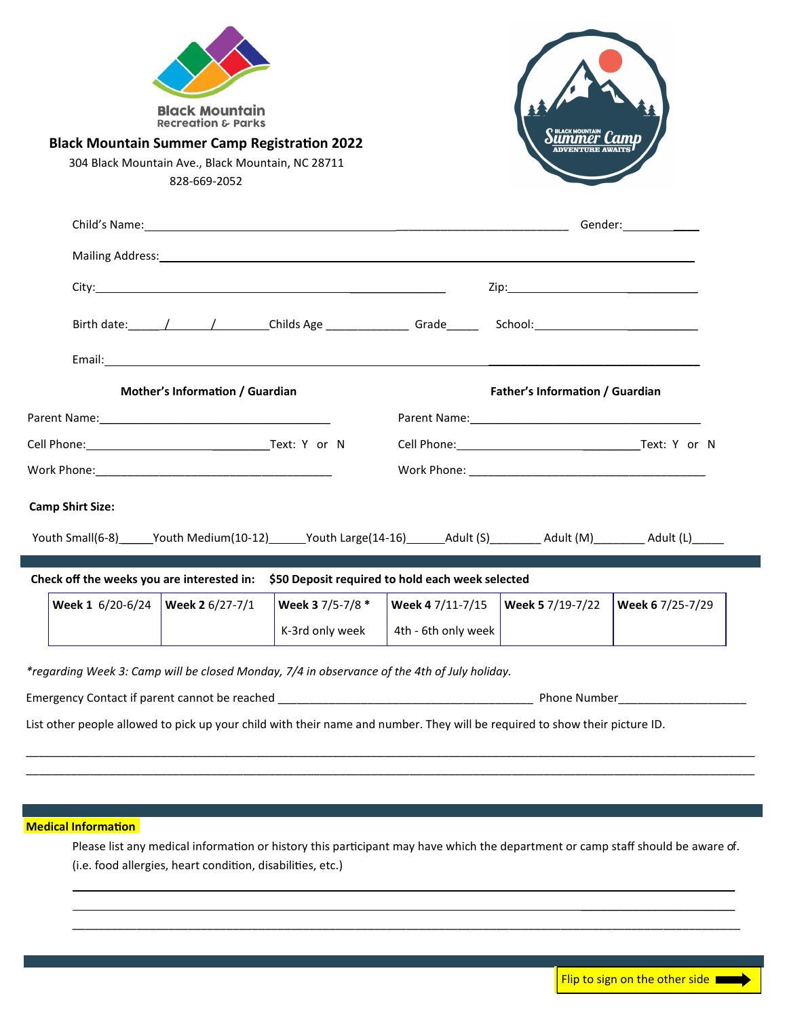| <b>Black Mountain Summer Camp Registration 2022</b>                                                                        | <b>Black Mountain</b><br><b>Recreation &amp; Parks</b><br>304 Black Mountain Ave., Black Mountain, NC 28711<br>828-669-2052                    |                  |                                 |                          |                  |
|----------------------------------------------------------------------------------------------------------------------------|------------------------------------------------------------------------------------------------------------------------------------------------|------------------|---------------------------------|--------------------------|------------------|
|                                                                                                                            |                                                                                                                                                |                  |                                 |                          |                  |
|                                                                                                                            |                                                                                                                                                |                  |                                 |                          |                  |
|                                                                                                                            |                                                                                                                                                |                  |                                 |                          |                  |
|                                                                                                                            |                                                                                                                                                |                  |                                 |                          |                  |
|                                                                                                                            |                                                                                                                                                |                  |                                 |                          |                  |
| Mother's Information / Guardian                                                                                            |                                                                                                                                                |                  | Father's Information / Guardian |                          |                  |
|                                                                                                                            |                                                                                                                                                |                  |                                 |                          |                  |
|                                                                                                                            |                                                                                                                                                |                  |                                 | Cell Phone: Text: Y or N |                  |
|                                                                                                                            |                                                                                                                                                |                  |                                 |                          |                  |
| <b>Camp Shirt Size:</b>                                                                                                    |                                                                                                                                                |                  |                                 |                          |                  |
| Youth Small(6-8)______Youth Medium(10-12)______Youth Large(14-16)_______Adult (S)_________Adult (M)________Adult (L)______ |                                                                                                                                                |                  |                                 |                          |                  |
|                                                                                                                            |                                                                                                                                                |                  |                                 |                          |                  |
| Check off the weeks you are interested in: \$50 Deposit required to hold each week selected<br>Week 1 6/20-6/24            | <u> Tanzania de la contrada de la contrada de la contrada de la contrada de la contrada de la contrada de la con</u><br><b>Week 2</b> 6/27-7/1 | Week 3 7/5-7/8 * | Week 4 7/11-7/15                | Week 5 7/19-7/22         | Week 6 7/25-7/29 |

**Medical Information**

Please list any medical information or history this participant may have which the department or camp staff should be aware of. (i.e. food allergies, heart condition, disabilities, etc.)

\_\_\_\_\_\_\_\_\_\_\_\_\_\_\_\_\_\_\_\_\_\_\_\_\_\_\_\_\_\_\_\_\_\_\_\_\_\_\_\_\_\_\_\_\_\_\_\_\_\_\_\_\_\_\_\_\_\_\_\_\_\_\_\_\_\_\_\_\_\_\_\_\_\_\_\_\_\_\_\_\_\_\_\_\_\_\_\_\_\_\_\_\_\_\_\_\_\_\_\_\_\_\_\_

\_\_\_\_\_\_\_\_\_\_\_\_\_\_\_\_\_\_\_\_\_\_\_\_ \_\_\_\_\_\_\_\_\_\_\_\_\_\_\_\_\_\_\_\_\_\_\_\_